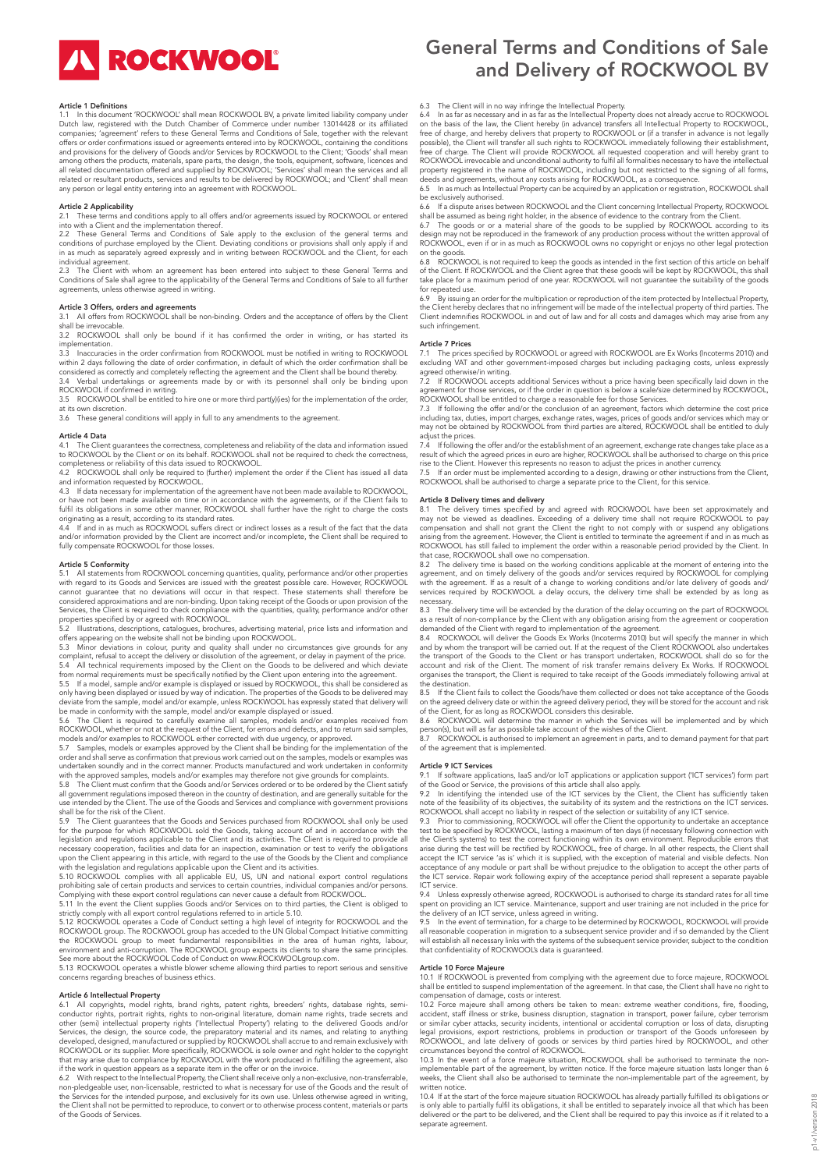**IN ROCKWOOL** 

#### Article 1 Definitions

1.1 In this document 'ROCKWOOL' shall mean ROCKWOOL BV, a private limited liability company under<br>Dutch law, registered with the Dutch Chamber of Commerce under number 13014428 or its affiliated<br>companies; 'agreement' refe offers or order confirmations issued or agreements entered into by ROCKWOOL, containing the conditions<br>and provisions for the delivery of Goods and/or Services by ROCKWOOL to the Client; 'Goods' shall mean<br>among others the all related documentation offered and supplied by ROCKWOOL; 'Services' shall mean the services and all<br>related or resultant products, services and results to be delivered by ROCKWOOL; and 'Client' shall mean<br>any person or

## Article 2 Applicability

2.1 These terms and conditions apply to all offers and/or agreements issued by ROCKWOOL or entered

into with a Client and the implementation thereof.<br>2.2 These General Terms and Conditions of Sale apply to the exclusion of the general terms and<br>conditions of purchase employed by the Client. Deviating conditions or provi individual agreement.

2.3 The Client with whom an agreement has been entered into subject to these General Terms and Conditions of Sale shall agree to the applicability of the General Terms and Conditions of Sale to all further agreements, unless otherwise agreed in writing.

**Article 3 Offers, orders and agreements**<br>3.1 All offers from ROCKWOOL shall be non-binding. Orders and the acceptance of offers by the Client shall be irrevocable.<br>3.2 ROCKWOOL 3.2 ROCKWOOL shall only be bound if it has confirmed the order in writing, or has started its

implementation.

3.3 Inaccuracies in the order confirmation from ROCKWOOL must be notified in writing to ROCKWOOL within 2 days following the date of order confirmation, in default of which the order confirmation shall be

considered as correctly and completely reflecting the agreement and the Client shall be bound thereby.<br>3.4 Verbal undertakings or agreements made by or with its personnel shall only be binding upon<br>ROCKWOOL if confirmed in 3.5 ROCKWOOL shall be entitled to hire one or more third part(y)(ies) for the implementation of the order,

at its own discretion

3.6 These general conditions will apply in full to any amendments to the agreement.

#### Article 4 Data

4.1 The Client guarantees the correctness, completeness and reliability of the data and information issued to ROCKWOOL by the Client or on its behalf. ROCKWOOL shall not be required to check the correctness,<br>completeness or reliability of this data issued to ROCKWOOL.<br>4.2 ROCKWOOL shall only be required to (further) implement t

and information requested by ROCKWOOL. 4.3 If data necessary for implementation of the agreement have not been made available to ROCKWOOL, or have not been made available on time or in accordance with the agreements, or if the Client fails to fulfil its obligations in some other manner, ROCKWOOL shall further have the right to charge the costs<br>originating as a result, according to its standard rates.<br>4.4 If and in as much as ROCKWOOL suffers direct or indirect

and/or information provided by the Client are incorrect and/or incomplete, the Client shall be required to fully compensate ROCKWOOL for those losses.

**Article 5 Conformity**<br>5.1 All statements from ROCKWOOL concerning quantities, quality, performance and/or other properties with regard to its Goods and Services are issued with the greatest possible care. However, ROCKWOOL<br>cannot guarantee that no deviations will occur in that respect. These statements shall therefore be<br>considered approximati

properties specified by or agreed with ROCKWOOL. 5.2 Illustrations, descriptions, catalogues, brochures, advertising material, price lists and information and

offers appearing on the website shall not be binding upon ROCKWOOL.<br>5.3 Minor deviations in colour, purity and quality shall under no circumstances give grounds for any<br>complaint, refusal to accept the delivery or dissol

5.4 All technical requirements imposed by the Client on the Goods to be delivered and which deviate<br>from normal requirements must be specifically notified by the Client upon entering into the agreement.<br>5.5 If a model, sam

only having been displayed or issued by way of indication. The properties of the Goods to be delivered may<br>deviate from the sample, model and/or example, unless ROCKWOOL has expressly stated that delivery will<br>be made in c

5.6 The Client is required to carefully examine all samples, models and/or examples received from ROCKWOOL, whether or not at the request of the Client, for errors and defects, and to return said samples,

models and/or examples to ROCKWOOL either corrected with due urgency, or approved.<br>5.7 Samples, models or examples approved by the Client shall be binding for the implementation of the<br>order and shall serve as confirmation undertaken soundly and in the correct manner. Products manufactured and work undertaken in conformity

with the approved samples, models and/or examples may therefore not give grounds for complaints. 5.8 The Client must confirm that the Goods and/or Services ordered or to be ordered by the Client satisfy all government regulations imposed thereon in the country of destination, and are generally suitable for the<br>use intended by the Client. The use of the Goods and Services and compliance with government provisions<br>shall be

5.9 The Client guarantees that the Goods and Services purchased from ROCKWOOL shall only be used for the purpose for which ROCKWOOL sold the Goods, taking account of and in accordance with the legislation and regulations applicable to the Client and its activities. The Client is required to provide all<br>necessary cooperation, facilities and data for an inspection, examination or test to verify the obligations<br>upo

5.11 In the event the Client supplies Goods and/or Services on to third parties, the Client is obliged to strictly comply with all export control regulations referred to in article 5.10.

5.12 ROCKWOOL operates a Code of Conduct setting a high level of integrity for ROCKWOOL and the ROCKWOOL group. The ROCKWOOL group has acceded to the UN Global Compact Initiative committing the ROCKWOOL group to meet funda

concerns regarding breaches of business ethics.

#### Article 6 Intellectual Property

6.1 All copyrights, model rights, brand rights, patent rights, breeders' rights, database rights, semi-conductor rights, portrait rights, rights to non-original literature, domain name rights, trade secrets and other (semi) intellectual property rights ('Intellectual Property') relating to the delivered Goods and/or<br>Services, the design, the source code, the preparatory material and its names, and relating to anything<br>developed, ROCKWOOL or its supplier. More specifically, ROCKWOOL is sole owner and right holder to the copyright that may arise due to compliance by ROCKWOOL with the work produced in fulfilling the agreement, also<br>if the work in question appears as a separate item in the offer or on the invoice.<br>6.2 With respect to the Intellectua

non-pledgeable user, non-licensable, restricted to what is necessary for use of the Goods and the result of the Services for the intended purpose, and exclusively for its own use. Unless otherwise agreed in writing, the Client shall not be permitted to reproduce, to convert or to otherwise process content, materials or parts of the Goods of Services.

## General Terms and Conditions of Sale and Delivery of ROCKWOOL BV

## 6.3 The Client will in no way infringe the Intellectual Property.

6.4 In as far as necessary and in as far as the Intellectual Property does not already accrue to ROCKWOOL, on the basis of the law, the Client hereby (in advance) transfers all Intellectual Property to ROCKWOOL, free of ch

property registered in the name of ROCKWOOL, including but not restricted to the signing of all forms,<br>deeds and agreements, without any costs arising for ROCKWOOL, as a consequence.<br>6.5 In as much as Intellectual Proper

be exclusively authorised. 6.6 If a dispute arises between ROCKWOOL and the Client concerning Intellectual Property, ROCKWOOL

shall be assumed as being right holder, in the absence of evidence to the contrary from the Client.<br>6.7 The goods or or a material share of the goods to be supplied by ROCKWOOL according to its<br>design may not be reproduced

on the goods. 6.8 ROCKWOOL is not required to keep the goods as intended in the first section of this article on behalf of the Client. If ROCKWOOL and the Client agree that these goods will be kept by ROCKWOOL, this shall<br>take place for a maximum period of one year. ROCKWOOL will not guarantee the suitability of the goods<br>for repeated use.

6.9 By issuing an order for the multiplication or reproduction of the item protected by Intellectual Property, the Client hereby declares that no infringement will be made of the intellectual property of third parties. The Client indemnifies ROCKWOOL in and out of law and for all costs and damages which may arise from any such infringement.

#### Article 7 Prices

7.1 The prices specified by ROCKWOOL or agreed with ROCKWOOL are Ex Works (Incoterms 2010) and excluding VAT and other government-imposed charges but including packaging costs, unless expressly

agreed otherwise/in writing.<br>7.2 If ROCKWOOL accepts additional Services without a price having been specifically laid down in the<br>agreement for those services, or if the order in question is below a scale/size determin ROCKWOOL shall be entitled to charge a reasonable fee for those Services. 7.3 If following the offer and/or the conclusion of an agreement, factors which determine the cost price

including tax, duties, import charges, exchange rates, wages, prices of goods and/or services which may or may not be obtained by ROCKWOOL from third parties are altered, ROCKWOOL shall be entitled to duly

adjust the prices. 7.4 If following the offer and/or the establishment of an agreement, exchange rate changes take place as a result of which the agreed prices in euro are higher, ROCKWOOL shall be authorised to charge on this price<br>rise to the Client. However this represents no reason to adjust the prices in another currency.<br>7.5 If an order m

ROCKWOOL shall be authorised to charge a separate price to the Client, for this service.

#### Article 8 Delivery times and delivery

8.1 The delivery times specified by and agreed with ROCKWOOL have been set approximately and<br>may not be viewed as deadlines. Exceeding of a delivery time shall not require ROCKWOOL to pay<br>compensation and shall not grant t arising from the agreement. However, the Client is entitled to terminate the agreement if and in as much as ROCKWOOL has still failed to implement the order within a reasonable period provided by the Client. In

that case, ROCKWOOL shall owe no compensation.<br>8.2 The delivery time is based on the working conditions applicable at the moment of entering into the<br>agreement, and on timely delivery of the goods and/or services required with the agreement. If as a result of a change to working conditions and/or late delivery of goods and/ services required by ROCKWOOL a delay occurs, the delivery time shall be extended by as long as necessary.

8.3 The delivery time will be extended by the duration of the delay occurring on the part of ROCKWOOL as a result of non-compliance by the Client with any obligation arising from the agreement or cooperation demanded of the Client with regard to implementation of the agreement.

8.4 ROCKWOOL will deliver the Goods Ex Works (Incoterms 2010) but will specify the manner in which and by whom the transport will be carried out. If at the request of the Client ROCKWOOL also undertakes the transport of the Goods to the Client or has transport undertaken, ROCKWOOL shall do so for the account and risk of the Client. The moment of risk transfer remains delivery Ex Works. If ROCKWOOL organises the transport, the Client is required to take receipt of the Goods immediately following arrival at the destination.

8.5 If the Client fails to collect the Goods/have them collected or does not take acceptance of the Goods on the agreed delivery date or within the agreed delivery period, they will be stored for the account and risk of the Client, for as long as ROCKWOOL considers this desirable.

8.6 ROCKWOOL will determine the manner in which the Services will be implemented and by which person(s), but will as far as possible take account of the wishes of the Client.

ROCKWOOL is authorised to implement an agreement in parts, and to demand payment for that part of the agreement that is implemented.

## Article 9 ICT Services

9.1 If software applications, IaaS and/or IoT applications or application support ('ICT services') form part of the Good or Service, the provisions of this article shall also apply.

9.2 In identifying the intended use of the ICT services by the Client, the Client has sufficiently taken<br>note of the feasibility of its objectives, the suitability of its system and the restrictions on the ICT services.<br>RO

9.3 Prior to commissioning, ROCKWOOL will offer the Client the opportunity to undertake an acceptance test to be specified by ROCKWOOL, lasting a maximum of ten days (if necessary following connection with the Client's systems) to test the correct functioning within its own environment. Reproducible errors that<br>arise during the test will be rectified by ROCKWOOL, free of charge. In all other respects, the Client shall<br>accept acceptance of any module or part shall be without prejudice to the obligation to accept the other parts of the ICT service. Repair work following expiry of the acceptance period shall represent a separate payable ICT service.

9.4 Unless expressly otherwise agreed, ROCKWOOL is authorised to charge its standard rates for all time spent on providing an ICT service. Maintenance, support and user training are not included in the price for the delivery of an ICT service, unless agreed in writing.

9.5 In the event of termination, for a charge to be determined by ROCKWOOL, ROCKWOOL will provide all reasonable cooperation in migration to a subsequent service provider and if so demanded by the Client will establish all necessary links with the systems of the subsequent service provider, subject to the condition that confidentiality of ROCKWOOL's data is guaranteed.

#### Article 10 Force Majeure

10.1 If ROCKWOOL is prevented from complying with the agreement due to force majeure, ROCKWOOL shall be entitled to suspend implementation of the agreement. In that case, the Client shall have no right to compensation of damage, costs or interest.

10.2 Force majeure shall among others be taken to mean: extreme weather conditions, fire, flooding, accident, staff illness or strike, business disruption, stagnation in transport, power failure, cyber terrorism<br>or similar

10.3 In the event of a force majeure situation, ROCKWOOL shall be authorised to terminate the non-<br>implementable part of the agreement, by written notice. If the force majeure situation lasts longer than 6<br>weeks, the Clien wed.c., ....<br>written notice.

10.4 If at the start of the force majeure situation ROCKWOOL has already partially fulfilled its obligations or is only able to partially fulfil its obligations, it shall be entitled to separately invoice all that which has been<br>delivered or the part to be delivered, and the Client shall be required to pay this invoice as if it rela separate agreement